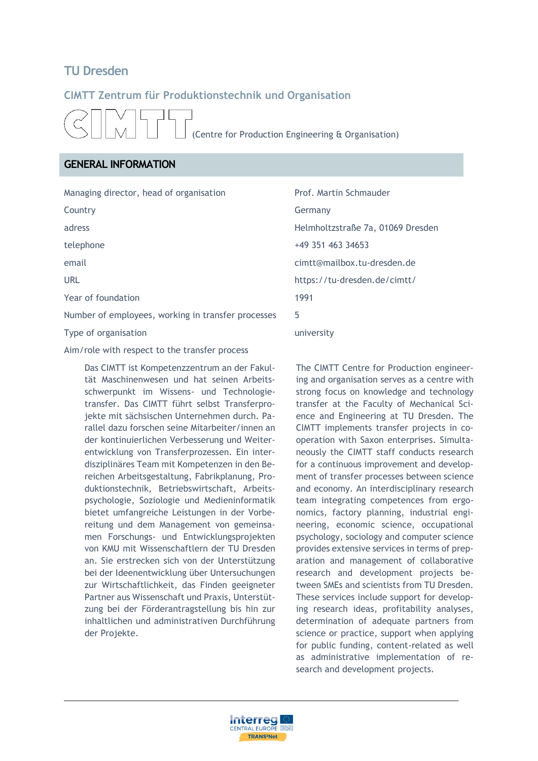# **TU Dresden**

## **CIMTT Zentrum für Produktionstechnik und Organisation**

(Centre for Production Engineering & Organisation)

# **GENERAL INFORMATION**

Managing director, head of organisation Prof. Martin Schmauder

Year of foundation 1991

Number of employees, working in transfer processes 5

Type of organisation and the state of the university

Aim/role with respect to the transfer process

Das CIMTT ist Kompetenzzentrum an der Fakultät Maschinenwesen und hat seinen Arbeitsschwerpunkt im Wissens- und Technologietransfer. Das CIMTT führt selbst Transferprojekte mit sächsischen Unternehmen durch. Parallel dazu forschen seine Mitarbeiter/innen an der kontinuierlichen Verbesserung und Weiterentwicklung von Transferprozessen. Ein interdisziplinäres Team mit Kompetenzen in den Bereichen Arbeitsgestaltung, Fabrikplanung, Produktionstechnik, Betriebswirtschaft, Arbeitspsychologie, Soziologie und Medieninformatik bietet umfangreiche Leistungen in der Vorbereitung und dem Management von gemeinsamen Forschungs- und Entwicklungsprojekten von KMU mit Wissenschaftlern der TU Dresden an. Sie erstrecken sich von der Unterstützung bei der Ideenentwicklung über Untersuchungen zur Wirtschaftlichkeit, das Finden geeigneter Partner aus Wissenschaft und Praxis, Unterstützung bei der Förderantragstellung bis hin zur inhaltlichen und administrativen Durchführung der Projekte.

Country **Germany** adress Helmholtzstraße 7a, 01069 Dresden telephone +49 351 463 34653 email cimtt@mailbox.tu-dresden.de URL https://tu-dresden.de/cimtt/

> The CIMTT Centre for Production engineering and organisation serves as a centre with strong focus on knowledge and technology transfer at the Faculty of Mechanical Science and Engineering at TU Dresden. The CIMTT implements transfer projects in cooperation with Saxon enterprises. Simultaneously the CIMTT staff conducts research for a continuous improvement and development of transfer processes between science and economy. An interdisciplinary research team integrating competences from ergonomics, factory planning, industrial engineering, economic science, occupational psychology, sociology and computer science provides extensive services in terms of preparation and management of collaborative research and development projects between SMEs and scientists from TU Dresden. These services include support for developing research ideas, profitability analyses, determination of adequate partners from science or practice, support when applying for public funding, content-related as well as administrative implementation of research and development projects.

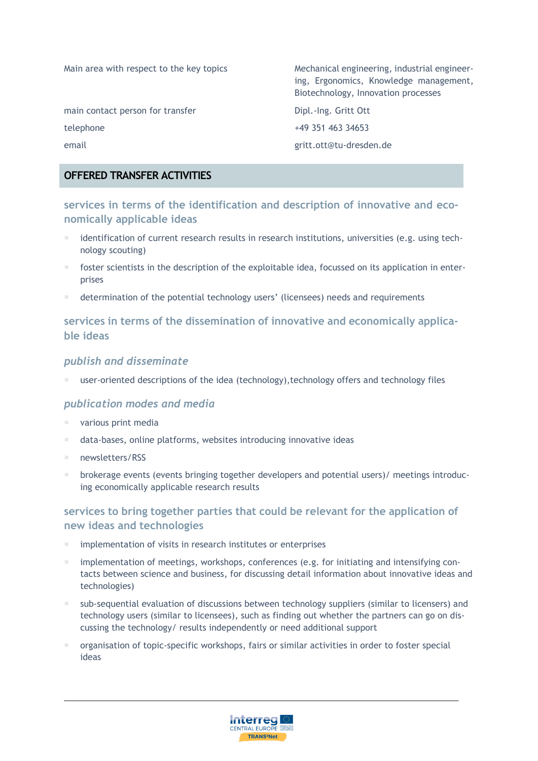main contact person for transfer The Dipl.-Ing. Gritt Ott

Main area with respect to the key topics Mechanical engineering, industrial engineering, Ergonomics, Knowledge management, Biotechnology, Innovation processes

telephone +49 351 463 34653 email gritt.ott@tu-dresden.de

# **OFFERED TRANSFER ACTIVITIES**

**services in terms of the identification and description of innovative and economically applicable ideas**

- identification of current research results in research institutions, universities (e.g. using technology scouting)
- **f** foster scientists in the description of the exploitable idea, focussed on its application in enterprises
- determination of the potential technology users' (licensees) needs and requirements

# **services in terms of the dissemination of innovative and economically applicable ideas**

#### *publish and disseminate*

user-oriented descriptions of the idea (technology),technology offers and technology files

## *publication modes and media*

- various print media
- data-bases, online platforms, websites introducing innovative ideas
- newsletters/RSS
- **brokerage events (events bringing together developers and potential users)/ meetings introduc**ing economically applicable research results

# **services to bring together parties that could be relevant for the application of new ideas and technologies**

- implementation of visits in research institutes or enterprises
- implementation of meetings, workshops, conferences (e.g. for initiating and intensifying contacts between science and business, for discussing detail information about innovative ideas and technologies)
- sub-sequential evaluation of discussions between technology suppliers (similar to licensers) and technology users (similar to licensees), such as finding out whether the partners can go on discussing the technology/ results independently or need additional support
- organisation of topic-specific workshops, fairs or similar activities in order to foster special ideas

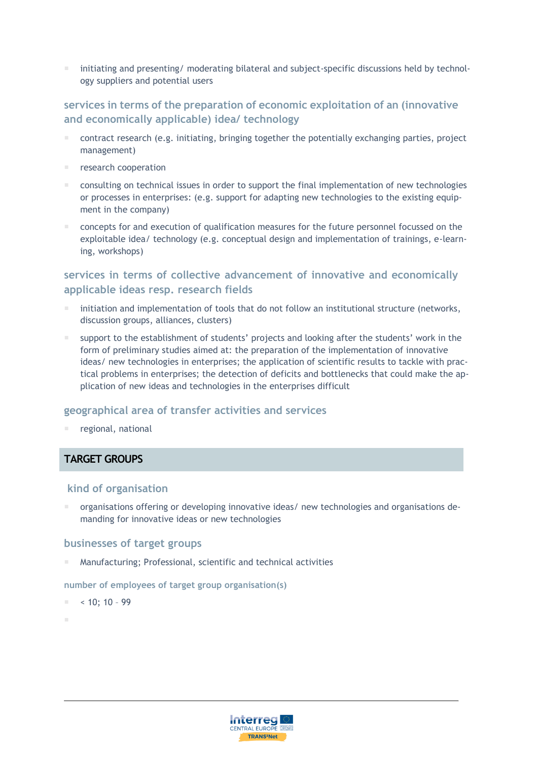initiating and presenting/ moderating bilateral and subject-specific discussions held by technology suppliers and potential users

# **services in terms of the preparation of economic exploitation of an (innovative and economically applicable) idea/ technology**

- contract research (e.g. initiating, bringing together the potentially exchanging parties, project management)
- research cooperation
- consulting on technical issues in order to support the final implementation of new technologies or processes in enterprises: (e.g. support for adapting new technologies to the existing equipment in the company)
- concepts for and execution of qualification measures for the future personnel focussed on the exploitable idea/ technology (e.g. conceptual design and implementation of trainings, e-learning, workshops)

# **services in terms of collective advancement of innovative and economically applicable ideas resp. research fields**

- initiation and implementation of tools that do not follow an institutional structure (networks, discussion groups, alliances, clusters)
- support to the establishment of students' projects and looking after the students' work in the form of preliminary studies aimed at: the preparation of the implementation of innovative ideas/ new technologies in enterprises; the application of scientific results to tackle with practical problems in enterprises; the detection of deficits and bottlenecks that could make the application of new ideas and technologies in the enterprises difficult

#### **geographical area of transfer activities and services**

regional, national

## **TARGET GROUPS**

#### **kind of organisation**

 organisations offering or developing innovative ideas/ new technologies and organisations demanding for innovative ideas or new technologies

#### **businesses of target groups**

Manufacturing; Professional, scientific and technical activities

**number of employees of target group organisation(s)** 

 $< 10: 10 - 99$ 

F